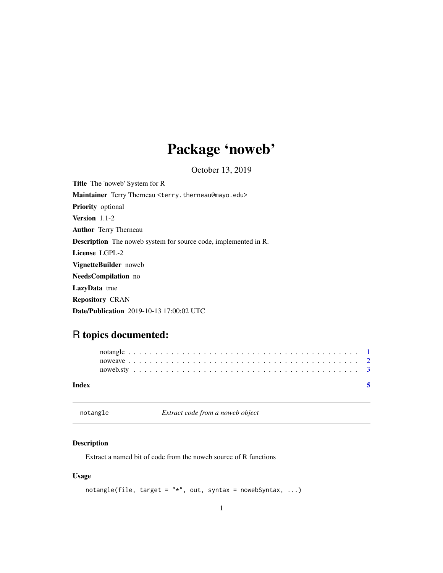## Package 'noweb'

October 13, 2019

<span id="page-0-0"></span>Title The 'noweb' System for R Maintainer Terry Therneau <terry.therneau@mayo.edu> Priority optional Version 1.1-2 Author Terry Therneau Description The noweb system for source code, implemented in R. License LGPL-2 VignetteBuilder noweb NeedsCompilation no LazyData true Repository CRAN Date/Publication 2019-10-13 17:00:02 UTC

### R topics documented:

| Index |  |  |  |  |  |  |  |  |  |  |  |  |  |  |  |  |  |  |  |  |  |
|-------|--|--|--|--|--|--|--|--|--|--|--|--|--|--|--|--|--|--|--|--|--|
|       |  |  |  |  |  |  |  |  |  |  |  |  |  |  |  |  |  |  |  |  |  |
|       |  |  |  |  |  |  |  |  |  |  |  |  |  |  |  |  |  |  |  |  |  |
|       |  |  |  |  |  |  |  |  |  |  |  |  |  |  |  |  |  |  |  |  |  |

<span id="page-0-1"></span>notangle *Extract code from a noweb object*

#### Description

Extract a named bit of code from the noweb source of R functions

#### Usage

```
notangle(file, target = "*", out, syntax = nowebSyntax, ...)
```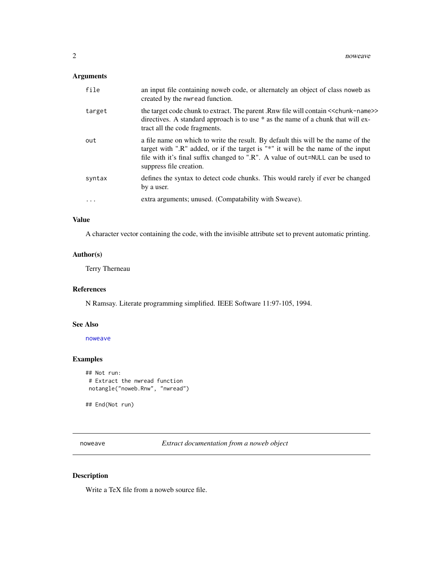#### <span id="page-1-0"></span>Arguments

| file     | an input file containing noweb code, or alternately an object of class noweb as<br>created by the nwread function.                                                                                                                                                                  |
|----------|-------------------------------------------------------------------------------------------------------------------------------------------------------------------------------------------------------------------------------------------------------------------------------------|
| target   | the target code chunk to extract. The parent .Rnw file will contain << chunk-name>><br>directives. A standard approach is to use * as the name of a chunk that will ex-<br>tract all the code fragments.                                                                            |
| out      | a file name on which to write the result. By default this will be the name of the<br>target with ".R" added, or if the target is "*" it will be the name of the input<br>file with it's final suffix changed to ".R". A value of out=NULL can be used to<br>suppress file creation. |
| syntax   | defines the syntax to detect code chunks. This would rarely if ever be changed<br>by a user.                                                                                                                                                                                        |
| $\ddots$ | extra arguments; unused. (Compatability with Sweave).                                                                                                                                                                                                                               |

#### Value

A character vector containing the code, with the invisible attribute set to prevent automatic printing.

#### Author(s)

Terry Therneau

#### References

N Ramsay. Literate programming simplified. IEEE Software 11:97-105, 1994.

#### See Also

[noweave](#page-1-1)

#### Examples

```
## Not run:
# Extract the nwread function
notangle("noweb.Rnw", "nwread")
```
## End(Not run)

<span id="page-1-1"></span>noweave *Extract documentation from a noweb object*

#### Description

Write a TeX file from a noweb source file.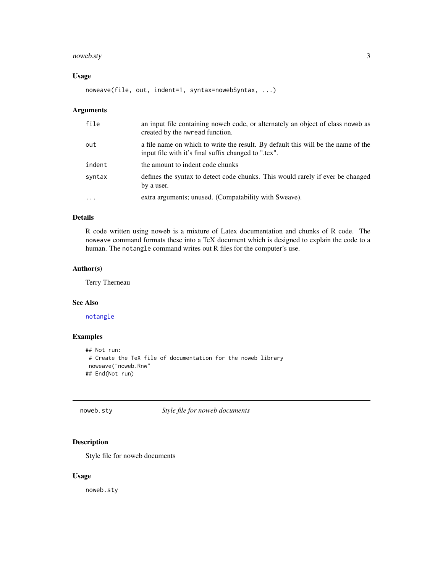#### <span id="page-2-0"></span>noweb.sty 3

#### Usage

```
noweave(file, out, indent=1, syntax=nowebSyntax, ...)
```
#### Arguments

| file      | an input file containing noweb code, or alternately an object of class noweb as<br>created by the nwread function.                        |
|-----------|-------------------------------------------------------------------------------------------------------------------------------------------|
| out       | a file name on which to write the result. By default this will be the name of the<br>input file with it's final suffix changed to ".tex". |
| indent    | the amount to indent code chunks                                                                                                          |
| syntax    | defines the syntax to detect code chunks. This would rarely if ever be changed<br>by a user.                                              |
| $\ddotsc$ | extra arguments; unused. (Compatability with Sweave).                                                                                     |

#### Details

R code written using noweb is a mixture of Latex documentation and chunks of R code. The noweave command formats these into a TeX document which is designed to explain the code to a human. The notangle command writes out R files for the computer's use.

#### Author(s)

Terry Therneau

#### See Also

[notangle](#page-0-1)

#### Examples

```
## Not run:
# Create the TeX file of documentation for the noweb library
noweave("noweb.Rnw"
## End(Not run)
```
noweb.sty *Style file for noweb documents*

#### Description

Style file for noweb documents

#### Usage

noweb.sty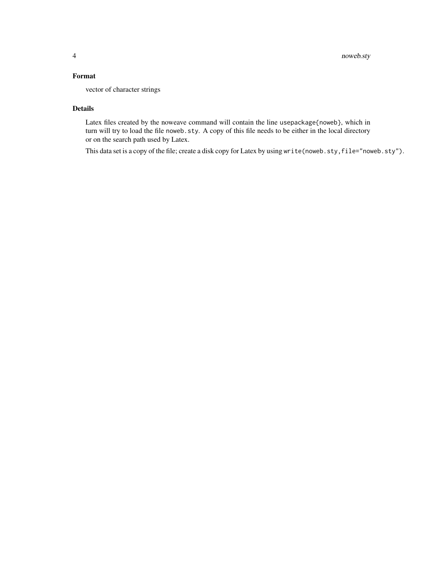#### Format

vector of character strings

#### Details

Latex files created by the noweave command will contain the line usepackage{noweb}, which in turn will try to load the file noweb.sty. A copy of this file needs to be either in the local directory or on the search path used by Latex.

This data set is a copy of the file; create a disk copy for Latex by using write(noweb.sty,file="noweb.sty").